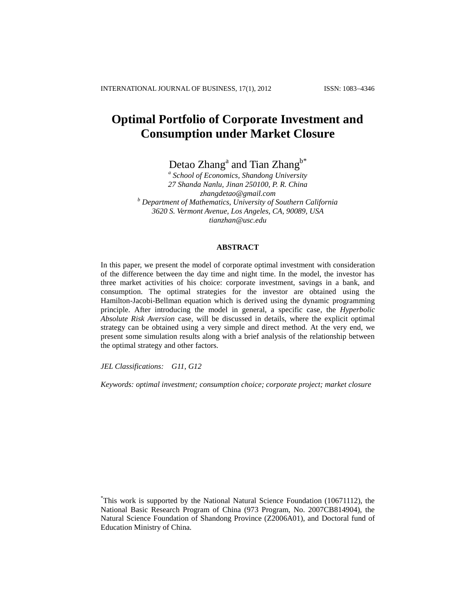# **Optimal Portfolio of Corporate Investment and Consumption under Market Closure**

Detao Zhang<sup>a</sup> and Tian Zhang<sup>b\*</sup>

*a School of Economics, Shandong University 27 Shanda Nanlu, Jinan 250100, P. R. China [zhangdetao@gmail.com](mailto:zhangdetao@gmail.com) <sup>b</sup> Department of Mathematics, University of Southern California 3620 S. Vermont Avenue, Los Angeles, CA, 90089, USA [tianzhan@usc.edu](mailto:tianzhan@usc.edu)*

# **ABSTRACT**

In this paper, we present the model of corporate optimal investment with consideration of the difference between the day time and night time. In the model, the investor has three market activities of his choice: corporate investment, savings in a bank, and consumption. The optimal strategies for the investor are obtained using the Hamilton-Jacobi-Bellman equation which is derived using the dynamic programming principle. After introducing the model in general, a specific case, the *Hyperbolic Absolute Risk Aversion* case, will be discussed in details, where the explicit optimal strategy can be obtained using a very simple and direct method. At the very end, we present some simulation results along with a brief analysis of the relationship between the optimal strategy and other factors.

*JEL Classifications: G11, G12*

*Keywords: optimal investment; consumption choice; corporate project; market closure*

<sup>\*</sup>This work is supported by the National Natural Science Foundation (10671112), the National Basic Research Program of China (973 Program, No. 2007CB814904), the Natural Science Foundation of Shandong Province (Z2006A01), and Doctoral fund of Education Ministry of China.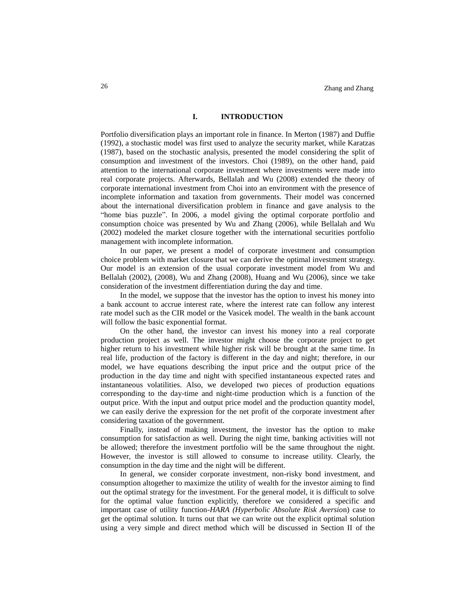#### **I. INTRODUCTION**

Portfolio diversification plays an important role in finance. In Merton (1987) and Duffie (1992), a stochastic model was first used to analyze the security market, while Karatzas (1987), based on the stochastic analysis, presented the model considering the split of consumption and investment of the investors. Choi (1989), on the other hand, paid attention to the international corporate investment where investments were made into real corporate projects. Afterwards, Bellalah and Wu (2008) extended the theory of corporate international investment from Choi into an environment with the presence of incomplete information and taxation from governments. Their model was concerned about the international diversification problem in finance and gave analysis to the "home bias puzzle". In 2006, a model giving the optimal corporate portfolio and consumption choice was presented by Wu and Zhang (2006), while Bellalah and Wu (2002) modeled the market closure together with the international securities portfolio management with incomplete information.

In our paper, we present a model of corporate investment and consumption choice problem with market closure that we can derive the optimal investment strategy. Our model is an extension of the usual corporate investment model from Wu and Bellalah (2002), (2008), Wu and Zhang (2008), Huang and Wu (2006), since we take consideration of the investment differentiation during the day and time.

In the model, we suppose that the investor has the option to invest his money into a bank account to accrue interest rate, where the interest rate can follow any interest rate model such as the CIR model or the Vasicek model. The wealth in the bank account will follow the basic exponential format.

On the other hand, the investor can invest his money into a real corporate production project as well. The investor might choose the corporate project to get higher return to his investment while higher risk will be brought at the same time. In real life, production of the factory is different in the day and night; therefore, in our model, we have equations describing the input price and the output price of the production in the day time and night with specified instantaneous expected rates and instantaneous volatilities. Also, we developed two pieces of production equations corresponding to the day-time and night-time production which is a function of the output price. With the input and output price model and the production quantity model, we can easily derive the expression for the net profit of the corporate investment after considering taxation of the government.

Finally, instead of making investment, the investor has the option to make consumption for satisfaction as well. During the night time, banking activities will not be allowed; therefore the investment portfolio will be the same throughout the night. However, the investor is still allowed to consume to increase utility. Clearly, the consumption in the day time and the night will be different.

In general, we consider corporate investment, non-risky bond investment, and consumption altogether to maximize the utility of wealth for the investor aiming to find out the optimal strategy for the investment. For the general model, it is difficult to solve for the optimal value function explicitly, therefore we considered a specific and important case of utility function-*HARA (Hyperbolic Absolute Risk Aversio*n) case to get the optimal solution. It turns out that we can write out the explicit optimal solution using a very simple and direct method which will be discussed in Section II of the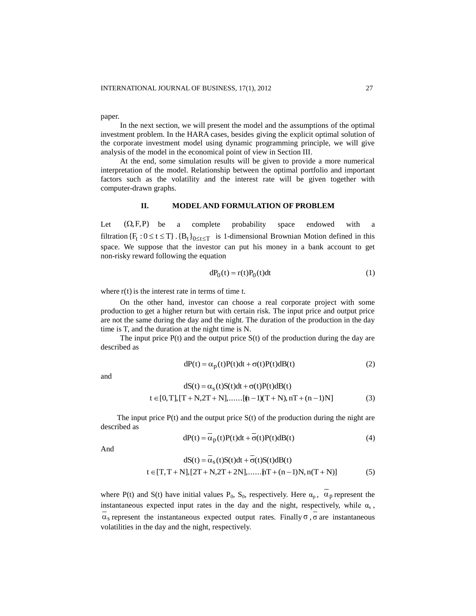paper.

In the next section, we will present the model and the assumptions of the optimal investment problem. In the HARA cases, besides giving the explicit optimal solution of the corporate investment model using dynamic programming principle, we will give analysis of the model in the economical point of view in Section III.

At the end, some simulation results will be given to provide a more numerical interpretation of the model. Relationship between the optimal portfolio and important factors such as the volatility and the interest rate will be given together with computer-drawn graphs.

#### **II. MODELAND FORMULATION OF PROBLEM**

Let  $(\Omega, F, P)$  be a complete probability space endowed with a filtration  $\{F_t : 0 \le t \le T\}$ .  $\{B_t\}_{0 \le t \le T}$  is 1-dimensional Brownian Motion defined in this space. We suppose that the investor can put his money in a bank account to get non-risky reward following the equation

$$
dP_0(t) = r(t)P_0(t)dt
$$
 (1)

where  $r(t)$  is the interest rate in terms of time t.

On the other hand, investor can choose a real corporate project with some production to get a higher return but with certain risk. The input price and output price are not the same during the day and the night. The duration of the production in the day time is T, and the duration at the night time is N.

The input price  $P(t)$  and the output price  $S(t)$  of the production during the day are described as

$$
dP(t) = \alpha_p(t)P(t)dt + \sigma(t)P(t)dB(t)
$$
\n(2)

and

dS(t) = 
$$
\alpha_s(t)S(t)dt + \sigma(t)P(t)dB(t)
$$
  
\nt  $\in [0, T], [T + N, 2T + N], \dots, [(n-1)(T + N), nT + (n-1)N]$  (3)

The input price  $P(t)$  and the output price  $S(t)$  of the production during the night are described as

$$
dP(t) = \alpha_p(t)P(t)dt + \sigma(t)P(t)dB(t)
$$
\n(4)

And

$$
dS(t) = \alpha_s(t)S(t)dt + \sigma(t)S(t)dB(t)
$$
  
\n
$$
t \in [T, T + N], [2T + N, 2T + 2N], \dots, [T + (n-1)N, n(T + N)]
$$
 (5)

where P(t) and S(t) have initial values  $P_0$ ,  $S_0$ , respectively. Here  $\alpha_p$ ,  $\alpha_p$  represent the instantaneous expected input rates in the day and the night, respectively, while  $\alpha_s$ ,  $\alpha_s$  represent the instantaneous expected output rates. Finally  $\sigma$ ,  $\sigma$  are instantaneous volatilities in the day and the night, respectively.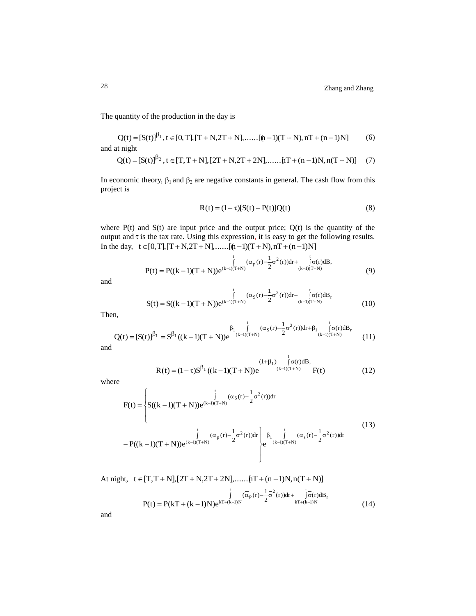The quantity of the production in the day is

$$
Q(t) = [S(t)]^{\beta_1}, t \in [0, T], [T + N, 2T + N], \dots, [n-1)(T + N), nT + (n-1)N]
$$
(6)  
and at night

$$
Q(t) = [S(t)]^{\beta_2}, t \in [T, T + N], [2T + N, 2T + 2N], \dots, [tT + (n-1)N, n(T + N)] \tag{7}
$$

In economic theory,  $\beta_1$  and  $\beta_2$  are negative constants in general. The cash flow from this project is

$$
R(t) = (1 - \tau)[S(t) - P(t)]Q(t)
$$
\n(8)

where  $P(t)$  and  $S(t)$  are input price and the output price;  $Q(t)$  is the quantity of the output and  $\tau$  is the tax rate. Using this expression, it is easy to get the following results. In the day,  $t \in [0, T]$ ,  $[T + N, 2T + N]$ ,....... $[(n - 1)(T + N), nT + (n - 1)N]$ 

$$
P(t) = P((k-1)(T+N))e^{(k-1)(T+N)} \int_{(k-1)(T+N)}^{t} (\alpha_p(r) - \frac{1}{2}\sigma^2(r))dr + \int_{(k-1)(T+N)}^{t} \sigma(r)dB_r
$$
\n(9)

and

$$
S(t) = S((k-1)(T+N))e^{(k-1)(T+N)} \int_{(k-1)(T+N)}^{t} (\alpha_S(r) - \frac{1}{2}\sigma^2(r))dr + \int_{(k-1)(T+N)}^{t} \sigma(r)dB_r
$$
\n(10)

Then,

en,  
\n
$$
Q(t) = [S(t)]^{\beta_1} = S^{\beta_1}((k-1)(T+N))e^{\int_{(k-1)(T+N)}^{t} (\alpha_S(r) - \frac{1}{2}\sigma^2(r))dr + \beta_1 \int_{(k-1)(T+N)}^{t} \sigma(r)dB_r}
$$
\n(11)

and

$$
R(t) = (1 - \tau)S^{\beta_1}((k - 1)(T + N))e^{(1 + \beta_1) \int_{(k-1)(T+N)}^{\infty} \sigma(r)dB_r}F(t)
$$
(12)

t

where

$$
F(t) = \begin{cases} \int_{0}^{t} (\alpha_{S}(r) - \frac{1}{2}\sigma^{2}(r))dr \\ S((k-1)(T+N))e^{(k-1)(T+N)} \\ \int_{0}^{t} (\alpha_{p}(r) - \frac{1}{2}\sigma^{2}(r))dr \\ -P((k-1)(T+N))e^{(k-1)(T+N)} \end{cases}
$$
(13)  
(13)

night, 
$$
t \in [T, T + N], [2T + N, 2T + 2N], \dots, [tT + (n-1)N, n(T + N)]
$$
  
\n
$$
\int_{t}^{t} (\overline{\alpha}_{p}(r) - \frac{1}{2} \overline{\sigma}^{2}(r)) dr + \int_{kT + (k-1)N}^{t} (\overline{\sigma}(r) dB_{r}) dR_{r}
$$
\n
$$
P(t) = P(kT + (k-1)N)e^{kT + (k-1)N} \tag{14}
$$

and

At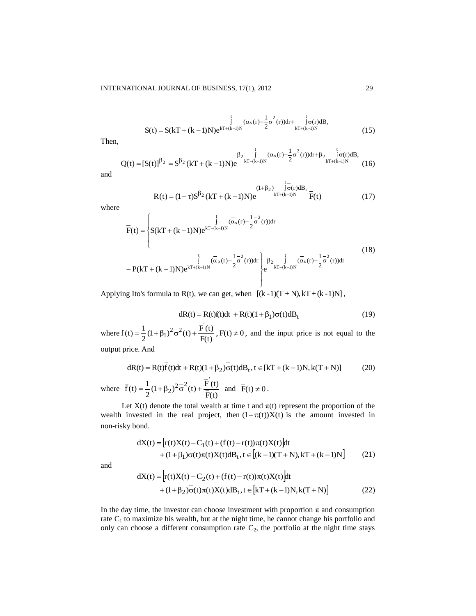$$
S(t) = S(kT + (k-1)N)e^{kT + (k-1)N} \int_{0}^{t} (\overline{\alpha}_{s}(r) - \frac{1}{2}\overline{\sigma}^{2}(r))dr + \int_{kT + (k-1)N}^{t} \overline{\sigma}(r)dB_{r}
$$
(15)

Then,

, 
$$
Q(t) = [S(t)]^{\beta_2} = S^{\beta_2} (kT + (k-1)N)e^{-\int_{kT + (k-1)N}^{t} (\overline{\alpha}_s(r) - \frac{1}{2}\sigma^2(r))dr + \beta_2 \int_{kT + (k-1)N}^{t} (\overline{\sigma}_r)dB_r}
$$
(16)

and

$$
R(t) = (1 - \tau)S^{\beta_2}(kT + (k - 1)N)e^{\int_{kT + (k-1)N}^{1-\tau} \sigma(r)dB_r} F(t)
$$
(17)

where

$$
\overline{F}(t) = \begin{cases}\n\int_{0}^{t} (\overline{\alpha}_{s}(r) - \frac{1}{2}\overline{\sigma}^{2}(r))dr \\
S(kT + (k-1)N)e^{kT + (k-1)N} \\
\int_{0}^{t} (\overline{\alpha}_{p}(r) - \frac{1}{2}\overline{\sigma}^{2}(r))dr \\
-P(kT + (k-1)N)e^{kT + (k-1)N}\n\end{cases}
$$
\n(18)

Applying Ito's formula to R(t), we can get, when  $[(k-1)(T+N), kT+(k-1)N]$ ,

$$
dR(t) = R(t) f(t)dt + R(t)(1 + \beta_1)\sigma(t)dB_t
$$
\n(19)

where  $f(t) = \frac{1}{2}(1 + \beta_1)^2 \sigma^2(t) + \frac{1}{F(t)}$  $\frac{1}{2}(1+\beta_1)^2\sigma^2(t) + \frac{F(t)}{F(t)}$  $f(t) = \frac{1}{2}(1+\beta_1)^2\sigma^2(t) + \frac{F'(t)}{F(t)}$ ,  $F(t) \neq 0$ , and the input price is not equal to the output price. And

$$
dR(t) = R(t)\overline{f}(t)dt + R(t)(1+\beta_2)\overline{\sigma}(t)dB_t, t \in [kT + (k-1)N, k(T+N)]
$$
 (20)

where  $F(t)$  $\frac{1}{2}(1+\beta_2)^2\overline{\sigma}^2(t) + \frac{F(t)}{\overline{F}(t)}$  $\bar{f}(t) = \frac{1}{2}(1+\beta_2)^2 \frac{\sigma^2}{\sigma}(t) + \frac{F(t)}{\overline{F}(t)}$  and  $\bar{F}(t) \neq 0$ .

Let  $X(t)$  denote the total wealth at time t and  $\pi(t)$  represent the proportion of the wealth invested in the real project, then  $(1 - \pi(t))X(t)$  is the amount invested in non-risky bond.

dX(t) = 
$$
\left[ r(t)X(t) - C_1(t) + (f(t) - r(t))\pi(t)X(t) \right]
$$
dt  
+  $(1 + \beta_1)\sigma(t)\pi(t)X(t)dB_t$ ,  $t \in \left[ (k-1)(T+N), kT + (k-1)N \right]$  (21)

and

dX(t) = 
$$
\left[ r(t)X(t) - C_2(t) + (\overline{f}(t) - r(t))\pi(t)X(t) \right]
$$
dt  
+  $(1+\beta_2)\sigma(t)\pi(t)X(t)dB_t, t \in [\text{kT} + (\text{k} - 1)N, \text{k}(T + N)]$  (22)

In the day time, the investor can choose investment with proportion  $\pi$  and consumption rate  $C_1$  to maximize his wealth, but at the night time, he cannot change his portfolio and only can choose a different consumption rate  $C_2$ , the portfolio at the night time stays

t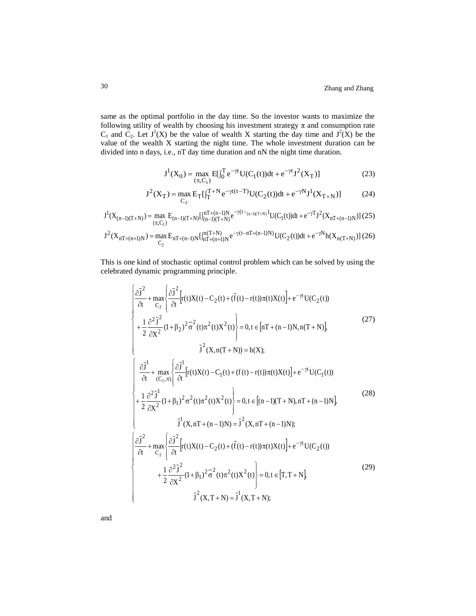same as the optimal portfolio in the day time. So the investor wants to maximize the following utility of wealth by choosing his investment strategy  $\pi$  and consumption rate  $C_1$  and  $C_2$ . Let  $J^1(X)$  be the value of wealth X starting the day time and  $J^2(X)$  be the value of the wealth X starting the night time. The whole investment duration can be divided into n days, i.e., nT day time duration and nN the night time duration.

$$
J^{1}(X_{0}) = \max_{(\pi, C_{1})} E[\int_{0}^{T} e^{-\gamma t} U(C_{1}(t))dt + e^{-\gamma t} J^{2}(X_{T})]
$$
(23)

$$
J^{2}(X_{T}) = \max_{C_{2}} E_{T}[\int_{T}^{T+N} e^{-\gamma t(t-T)} U(C_{2}(t))dt + e^{-\gamma N} J^{1}(X_{T+N})]
$$
(24)

$$
J^{1}(X_{(n-1)(T+N)}) = \max_{(\pi,C_{1})} E_{(n-1)(T+N)} \left[ \int_{(n-1)(T+N)}^{nT+(n-1)N} e^{-\gamma(t-(n-1)(T+N))} U(C_{1}(t)) dt + e^{-\gamma T} J^{2}(X_{nT+(n-1)N}) \right] (25)
$$
  

$$
J^{2}(X_{nT+(n+1)N}) = \max_{C_{2}} E_{nT+(n-1)N} \left[ \int_{nT+(n+1)N}^{n(T+N)} e^{-\gamma(t-nT+(n-1)N)} U(C_{2}(t)) dt + e^{-\gamma N} h(X_{n(T+N)}) \right] (26)
$$

This is one kind of stochastic optimal control problem which can be solved by using the celebrated dynamic programming principle.

$$
\begin{cases}\n\frac{\partial \vec{J}^{2}}{\partial t} + \max_{C_{2}} \left\{ \frac{\partial \vec{J}^{2}}{\partial t} \Big[ r(t)X(t) - C_{2}(t) + (\bar{f}(t) - r(t))\pi(t)X(t) \Big] + e^{-\gamma t} U(C_{2}(t)) \\
+ \frac{1}{2} \frac{\partial^{2} \vec{J}^{2}}{\partial X^{2}} (1 + \beta_{2})^{2} \vec{\sigma}^{2}(t) \pi^{2}(t) X^{2}(t) \right\} = 0, t \in [nT + (n-1)N, n(T + N)], \\
\vec{J}^{2}(X, n(T + N)) = h(X); \\
\left\{ \frac{\partial \vec{J}^{1}}{\partial t} + \max_{(C_{1}, \pi)} \left\{ \frac{\partial \vec{J}^{1}}{\partial t} \Big[ r(t)X(t) - C_{1}(t) + (f(t) - r(t))\pi(t)X(t) \Big] + e^{-\gamma t} U(C_{1}(t)) \right. \\
\left. + \frac{1}{2} \frac{\partial^{2} \vec{J}^{1}}{\partial X^{2}} (1 + \beta_{1})^{2} \sigma^{2}(t) \pi^{2}(t) X^{2}(t) \right\} = 0, t \in [(n-1)(T + N), nT + (n-1)N], \\
\vec{J}^{1}(X, nT + (n-1)N) = \vec{J}^{2}(X, nT + (n-1)N); \\
\left\{ \frac{\partial \vec{J}^{2}}{\partial t} + \max_{C_{2}} \left\{ \frac{\partial \vec{J}^{2}}{\partial t} \Big[ r(t)X(t) - C_{2}(t) + (\vec{f}(t) - r(t))\pi(t)X(t) \Big] + e^{-\gamma t} U(C_{2}(t)) \right. \\
\left. + \frac{1}{2} \frac{\partial^{2} \vec{J}^{2}}{\partial X^{2}} (1 + \beta_{1})^{2} \vec{\sigma}^{2}(t) \pi^{2}(t) X^{2}(t) \right\} = 0, t \in [T, T + N], \\
\vec{J}^{2}(X, T + N) = \vec{J}^{1}(X, T + N); \n\end{cases} \tag{29}
$$

and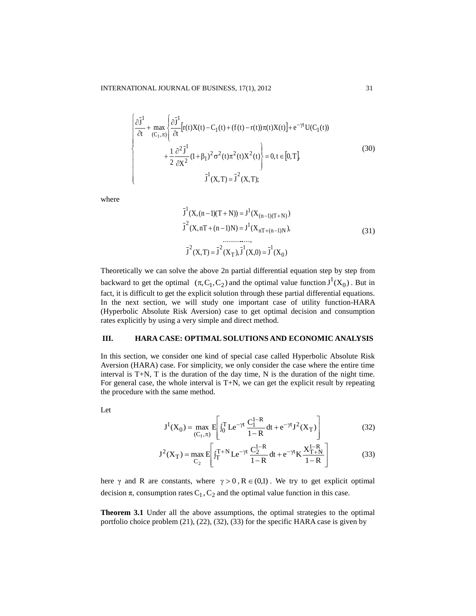$$
\begin{cases}\n\frac{\partial \bar{J}^{1}}{\partial t} + \max_{(C_{1}, \pi)} \left\{ \frac{\partial \bar{J}^{1}}{\partial t} [r(t)X(t) - C_{1}(t) + (f(t) - r(t))\pi(t)X(t)] + e^{-\gamma t} U(C_{1}(t)) \right. \\
\left. + \frac{1}{2} \frac{\partial^{2} \bar{J}^{1}}{\partial X^{2}} (1 + \beta_{1})^{2} \sigma^{2}(t) \pi^{2}(t) X^{2}(t) \right\} = 0, t \in [0, T], \\
\bar{J}^{1}(X, T) = \bar{J}^{2}(X, T); \n\end{cases} \tag{30}
$$

where

$$
\overline{J}^{1}(X,(n-1)(T+N)) = J^{1}(X_{(n-1)(T+N)})
$$
  

$$
\overline{J}^{2}(X,nT+(n-1)N) = J^{1}(X_{nT+(n-1)N}),
$$
  
............  

$$
\overline{J}^{2}(X,T) = \overline{J}^{2}(X_{T}), \overline{J}^{1}(X,0) = \overline{J}^{1}(X_{0})
$$
 (31)

Theoretically we can solve the above 2n partial differential equation step by step from backward to get the optimal  $(\pi, C_1, C_2)$  and the optimal value function  $J^1(X_0)$ . But in fact, it is difficult to get the explicit solution through these partial differential equations. In the next section, we will study one important case of utility function-HARA (Hyperbolic Absolute Risk Aversion) case to get optimal decision and consumption rates explicitly by using a very simple and direct method.

#### **III. HARA CASE: OPTIMAL SOLUTIONS AND ECONOMIC ANALYSIS**

In this section, we consider one kind of special case called Hyperbolic Absolute Risk Aversion (HARA) case. For simplicity, we only consider the case where the entire time interval is T+N, T is the duration of the day time, N is the duration of the night time. For general case, the whole interval is T+N, we can get the explicit result by repeating the procedure with the same method.

Let

$$
J^{1}(X_{0}) = \max_{(C_{1}, \pi)} E\left[ \int_{0}^{T} L e^{-\gamma t} \frac{C_{1}^{1-R}}{1-R} dt + e^{-\gamma t} J^{2}(X_{T}) \right]
$$
(32)

$$
J^{2}(X_{T}) = \max_{C_{2}} E\left[ \int_{T}^{T+N} L e^{-\gamma t} \frac{C_{2}^{1-R}}{1-R} dt + e^{-\gamma t} K \frac{X_{T+N}^{1-R}}{1-R} \right]
$$
(33)

here  $\gamma$  and R are constants, where  $\gamma > 0$ ,  $R \in (0,1)$ . We try to get explicit optimal decision  $\pi$ , consumption rates C<sub>1</sub>, C<sub>2</sub> and the optimal value function in this case.

**Theorem 3.1** Under all the above assumptions, the optimal strategies to the optimal portfolio choice problem (21), (22), (32), (33) for the specific HARA case is given by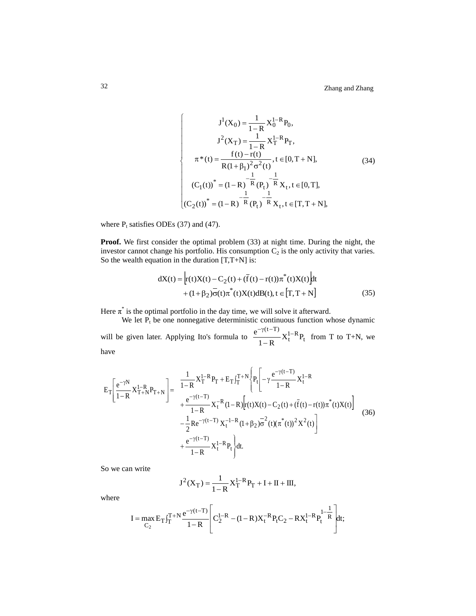$$
J^{1}(X_{0}) = \frac{1}{1-R} X_{0}^{1-R} P_{0},
$$
\n
$$
J^{2}(X_{T}) = \frac{1}{1-R} X_{T}^{1-R} P_{T},
$$
\n
$$
\pi^{*}(t) = \frac{f(t) - r(t)}{R(1 + \beta_{1})^{2} \sigma^{2}(t)}, t \in [0, T + N],
$$
\n
$$
(34)
$$
\n
$$
(C_{1}(t))^{*} = (1 - R)^{-R} (P_{t})^{-\frac{1}{R}} X_{t}, t \in [0, T],
$$
\n
$$
(C_{2}(t))^{*} = (1 - R)^{-\frac{1}{R}} (P_{t})^{-\frac{1}{R}} X_{t}, t \in [T, T + N],
$$

where  $P_t$  satisfies ODEs (37) and (47).

**Proof.** We first consider the optimal problem (33) at night time. During the night, the investor cannot change his portfolio. His consumption  $C_2$  is the only activity that varies. So the wealth equation in the duration  $[T, T+N]$  is:

$$
dX(t) = \left[ r(t)X(t) - C_2(t) + (\bar{f}(t) - r(t))\pi^*(t)X(t) \right]dt + (1 + \beta_2)\sigma(t)\pi^*(t)X(t)dB(t), t \in [T, T + N]
$$
(35)

Here  $\pi^*$  is the optimal portfolio in the day time, we will solve it afterward.

We let  $P_t$  be one nonnegative deterministic continuous function whose dynamic will be given later. Applying Ito's formula to  $\frac{e^{-(x-1)}}{1}X_t^{1-R}P_t$  $(t-T)$  $\frac{X_1 - K}{1 - R}$  $e^{-\gamma(t-T)}$   $\mathbf{v}^{1-}$  $\frac{K}{-R}X_t^{1-R}P_t$  from T to T+N, we

have

$$
E_{T}\left[\frac{e^{-\gamma N}}{1-R}X_{T+N}^{1-R}P_{T+N}\right] = \frac{1}{1-R}X_{T}^{1-R}P_{T} + E_{T}\int_{T}^{T+N} \left\{P_{t}\right\} - \gamma \frac{e^{-\gamma(t-T)}}{1-R}X_{t}^{1-R} + \frac{e^{-\gamma(t-T)}}{1-R}X_{t}^{-R}(1-R)\left[r(t)X(t) - C_{2}(t) + (\bar{f}(t) - r(t))\pi^{*}(t)X(t)\right] - \frac{1}{2}Re^{-\gamma(t-T)}X_{t}^{-1-R}(1+\beta_{2})\overline{\sigma}^{2}(t)(\pi^{*}(t))^{2}X^{2}(t) + \frac{e^{-\gamma(t-T)}}{1-R}X_{t}^{1-R}P_{t}\right\}dt.
$$
\n(36)

So we can write

$$
J^{2}(X_{T}) = \frac{1}{1-R} X_{T}^{1-R} P_{T} + I + II + III,
$$

where

$$
I = \max_{C_2} E_T \int_T^{T+N} \frac{e^{-\gamma(t-T)}}{1-R} \left[ C_2^{1-R} - (1-R)X_t^{-R} P_t C_2 - RX_t^{1-R} P_t^{1-\frac{1}{R}} \right] dt;
$$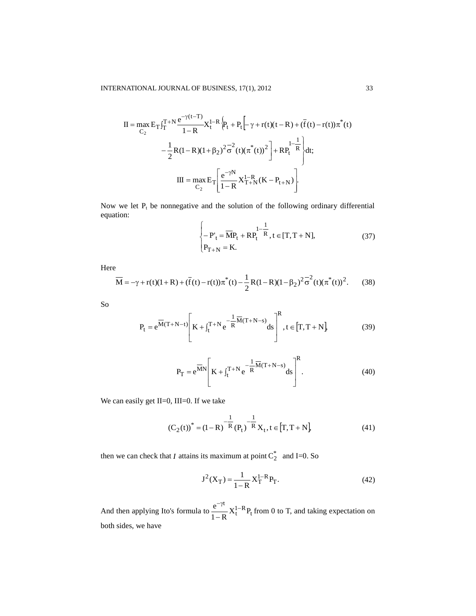$$
II = \max_{C_2} E_T \int_T^{T+N} \frac{e^{-\gamma(t-T)}}{1-R} X_t^{1-R} \left\{ P_t + P_t \left[ -\gamma + r(t)(t-R) + (\bar{f}(t) - r(t))\pi^*(t) \right] - \frac{1}{2} R(1-R)(1+\beta_2)^2 \overline{\sigma}^2(t) (\pi^*(t))^2 \right\} + R P_t^{1-\frac{1}{R}} \left\{ dt; \right.
$$
  

$$
III = \max_{C_2} E_T \left[ \frac{e^{-\gamma N}}{1-R} X_{T+N}^{1-R}(K - P_{t+N}) \right].
$$

Now we let  $P_t$  be nonnegative and the solution of the following ordinary differential equation:

$$
\begin{cases}\n-P'_t = \overline{MP}_t + RP_t^{1-\frac{1}{R}}, t \in [T, T+N], \\
P_{T+N} = K.\n\end{cases} \tag{37}
$$

Here

$$
\overline{M} = -\gamma + r(t)(1+R) + (\overline{f}(t) - r(t))\pi^*(t) - \frac{1}{2}R(1-R)(1-\beta_2)^2\overline{\sigma}^2(t)(\pi^*(t))^2.
$$
 (38)

So

$$
P_{t} = e^{\overline{M}(T+N-t)} \left[ K + \int_{t}^{T+N} e^{-\frac{1}{R}\overline{M}(T+N-s)} ds \right]^{R}, t \in [T, T+N],
$$
 (39)

$$
P_{T} = e^{\overline{M}N} \left[ K + \int_{t}^{T+N} e^{-\frac{1}{R}\overline{M}(T+N-s)} ds \right]^{R}.
$$
 (40)

We can easily get II=0, III=0. If we take

$$
(C_2(t))^* = (1 - R)^{-\frac{1}{R}}(P_t)^{-\frac{1}{R}}X_t, t \in [T, T + N]
$$
\n(41)

then we can check that *I* attains its maximum at point  $C_2^*$  and I=0. So

$$
J^{2}(X_{T}) = \frac{1}{1 - R} X_{T}^{1 - R} P_{T}.
$$
 (42)

And then applying Ito's formula to  $\frac{e^{-\beta}}{1 - e^{-\beta}} X_t^{1-R} P_t$ t  $\frac{C}{1-R}X_t^{1-R}P_t$  $e^{-\gamma t}$ <sub>V</sub><sub>1-</sub>  $\frac{f}{-R}X_t^{1-R}P_t$  from 0 to T, and taking expectation on both sides, we have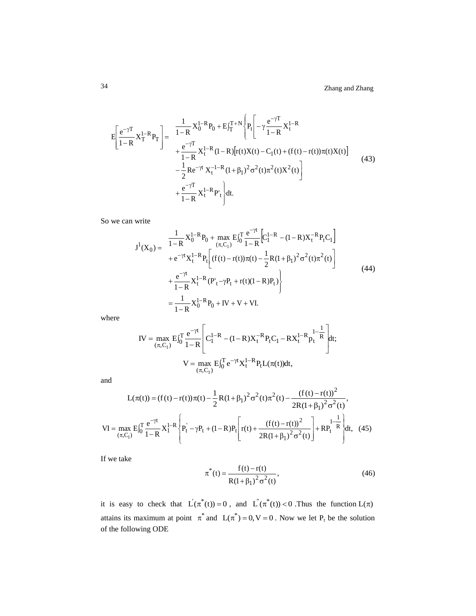$$
E\left[\frac{e^{-\gamma T}}{1-R}X_T^{1-R}P_T\right] = \frac{\frac{1}{1-R}X_0^{1-R}P_0 + E\int_T^{T+N}\left\{P_t\left[-\gamma\frac{e^{-\gamma T}}{1-R}X_t^{1-R} + \frac{e^{-\gamma T}}{1-R}X_t^{1-R}(1-R)[r(t)X(t) - C_1(t) + (f(t) - r(t))\pi(t)X(t)\right] \right. \\ \left. - \frac{1}{2}Re^{-\gamma t}X_t^{-1-R}(1+\beta_1)^2\sigma^2(t)\pi^2(t)X^2(t)\right] \\ \left. + \frac{e^{-\gamma T}}{1-R}X_t^{1-R}P_t\right\}dt.
$$
\n(43)

So we can write

$$
J^{1}(X_{0}) = \frac{1}{1-R} X_{0}^{1-R} P_{0} + \max_{(\pi, C_{1})} E_{0}^{T} \frac{e^{-\gamma t}}{1-R} \Big[ C_{1}^{1-R} - (1-R)X_{t}^{-R} P_{t} C_{1} \Big] + e^{-\gamma t} X_{t}^{1-R} P_{t} \Big[ (f(t) - r(t))\pi(t) - \frac{1}{2}R(1+\beta_{1})^{2} \sigma^{2}(t)\pi^{2}(t) \Big] + \frac{e^{-\gamma t}}{1-R} X_{t}^{1-R} (P'_{t} - \gamma P_{t} + r(t)(1-R)P_{t}) \Big\} = \frac{1}{1-R} X_{0}^{1-R} P_{0} + IV + V + VI.
$$
 (44)

where

$$
IV = \max_{(\pi, C_1)} E \int_0^T \frac{e^{-\gamma t}}{1 - R} \left[ C_1^{1 - R} - (1 - R)X_t^{-R} P_t C_1 - RX_t^{1 - R} P_t^{1 - \frac{1}{R}} \right] dt;
$$
  

$$
V = \max_{(\pi, C_1)} E \int_0^T e^{-\gamma t} X_t^{1 - R} P_t L(\pi(t)) dt,
$$

and

$$
L(\pi(t)) = (f(t) - r(t))\pi(t) - \frac{1}{2}R(1 + \beta_1)^2 \sigma^2(t)\pi^2(t) - \frac{(f(t) - r(t))^2}{2R(1 + \beta_1)^2 \sigma^2(t)},
$$
  
\nVI = max  $E\int_0^T \frac{e^{-\gamma t}}{1 - R} X_1^{1-R} \left\{ P_t^{\dagger} - \gamma P_t + (1 - R)P_t \left[ r(t) + \frac{(f(t) - r(t))^2}{2R(1 + \beta_1)^2 \sigma^2(t)} \right] + R P_t^{1-\frac{1}{R}} \right\} dt$ , (45)

If we take

$$
\pi^*(t) = \frac{f(t) - r(t)}{R(1 + \beta_1)^2 \sigma^2(t)},
$$
\n(46)

it is easy to check that  $\dot{L}(\pi^*(t)) = 0$ , and  $\dot{L}(\pi^*(t)) < 0$ . Thus the function  $L(\pi)$ attains its maximum at point  $\pi^*$  and  $L(\pi^*) = 0, V = 0$ . Now we let P<sub>t</sub> be the solution of the following ODE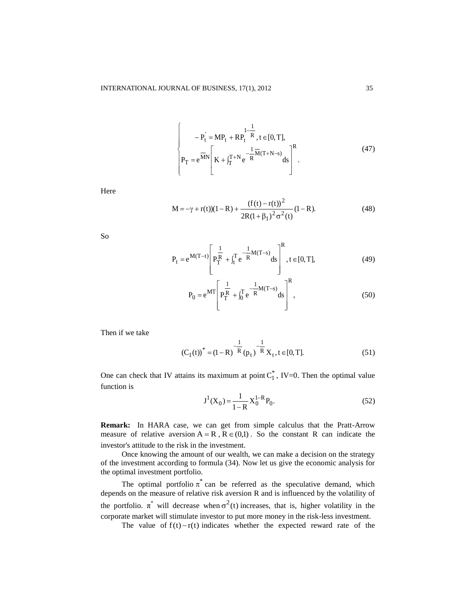$$
\begin{cases}\n-P_t = MP_t + RP_t^{\frac{1}{R}}, t \in [0, T], \\
P_T = e^{\overline{MN}} \left[ K + \int_T^{T+N} e^{-\frac{1}{R}\overline{M}(T+N-s)} ds \right]^R.\n\end{cases} (47)
$$

Here

$$
M = -\gamma + r(t)(1 - R) + \frac{(f(t) - r(t))^2}{2R(1 + \beta_1)^2 \sigma^2(t)} (1 - R).
$$
 (48)

So

$$
P_{t} = e^{M(T-t)} \left[ P_{T}^{\frac{1}{R}} + \int_{t}^{T} e^{-\frac{1}{R}M(T-s)} ds \right]^{R}, t \in [0, T],
$$
 (49)

$$
P_0 = e^{MT} \left[ P_T^{\frac{1}{R}} + \int_0^T e^{-\frac{1}{R}M(T-s)} ds \right]^R,
$$
\n(50)

Then if we take

$$
(C_1(t))^* = (1 - R)^{-\frac{1}{R}} (p_t)^{-\frac{1}{R}} X_t, t \in [0, T].
$$
\n(51)

One can check that IV attains its maximum at point  $C_1^*$ , IV=0. Then the optimal value function is

$$
J^{1}(X_0) = \frac{1}{1 - R} X_0^{1 - R} P_0.
$$
 (52)

**Remark:** In HARA case, we can get from simple calculus that the Pratt-Arrow measure of relative aversion  $A = R$ ,  $R \in (0,1)$ . So the constant R can indicate the investor's attitude to the risk in the investment.

Once knowing the amount of our wealth, we can make a decision on the strategy of the investment according to formula (34). Now let us give the economic analysis for the optimal investment portfolio.

The optimal portfolio  $\pi^*$  can be referred as the speculative demand, which depends on the measure of relative risk aversion R and is influenced by the volatility of the portfolio.  $\pi^*$  will decrease when  $\sigma^2(t)$  increases, that is, higher volatility in the corporate market will stimulate investor to put more money in the risk-less investment.

The value of  $f(t)-r(t)$  indicates whether the expected reward rate of the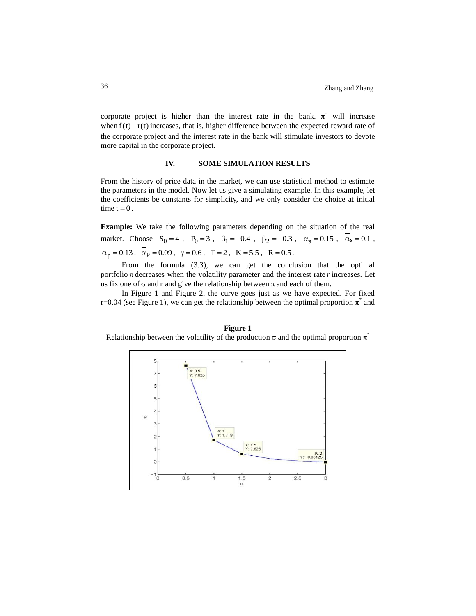corporate project is higher than the interest rate in the bank.  $\pi^*$  will increase when  $f(t) - r(t)$  increases, that is, higher difference between the expected reward rate of the corporate project and the interest rate in the bank will stimulate investors to devote more capital in the corporate project.

### **IV. SOME SIMULATION RESULTS**

From the history of price data in the market, we can use statistical method to estimate the parameters in the model. Now let us give a simulating example. In this example, let the coefficients be constants for simplicity, and we only consider the choice at initial time  $t = 0$ .

**Example:** We take the following parameters depending on the situation of the real market. Choose  $S_0 = 4$ ,  $P_0 = 3$ ,  $\beta_1 = -0.4$ ,  $\beta_2 = -0.3$ ,  $\alpha_s = 0.15$ ,  $\alpha_s = 0.1$ ,  $\alpha_p = 0.13$ ,  $\alpha_p = 0.09$ ,  $\gamma = 0.6$ ,  $T = 2$ ,  $K = 5.5$ ,  $R = 0.5$ .

From the formula (3.3), we can get the conclusion that the optimal portfolio  $\pi$  decreases when the volatility parameter and the interest rate  $r$  increases. Let us fix one of  $\sigma$  and r and give the relationship between  $\pi$  and each of them.

In Figure 1 and Figure 2, the curve goes just as we have expected. For fixed r=0.04 (see Figure 1), we can get the relationship between the optimal proportion  $\pi^*$  and

## **Figure 1** Relationship between the volatility of the production  $\sigma$  and the optimal proportion  $\pi^*$

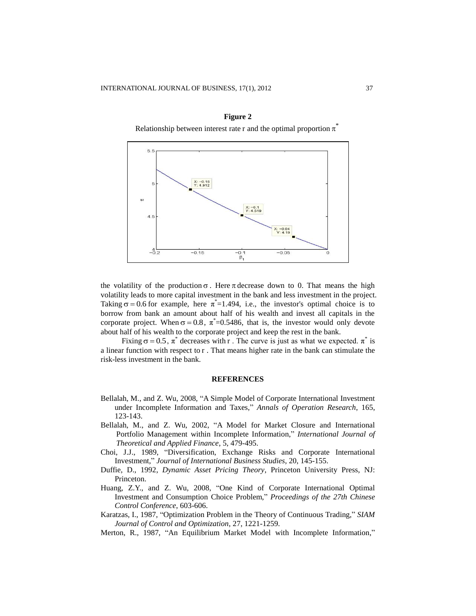

**Figure 2** Relationship between interest rate r and the optimal proportion  $\pi^*$ 

the volatility of the production  $\sigma$ . Here  $\pi$  decrease down to 0. That means the high volatility leads to more capital investment in the bank and less investment in the project. Taking  $\sigma = 0.6$  for example, here  $\pi^* = 1.494$ , i.e., the investor's optimal choice is to borrow from bank an amount about half of his wealth and invest all capitals in the corporate project. When  $\sigma = 0.8$ ,  $\pi^* = 0.5486$ , that is, the investor would only devote about half of his wealth to the corporate project and keep the rest in the bank.

Fixing  $\sigma = 0.5$ ,  $\pi^*$  decreases with r. The curve is just as what we expected.  $\pi^*$  is a linear function with respect to r . That means higher rate in the bank can stimulate the risk-less investment in the bank.

#### **REFERENCES**

- Bellalah, M., and Z. Wu, 2008, "A Simple Model of Corporate International Investment under Incomplete Information and Taxes," *Annals of Operation Research*, 165, 123-143.
- Bellalah, M., and Z. Wu, 2002, "A Model for Market Closure and International Portfolio Management within Incomplete Information," *International Journal of Theoretical and Applied Finance*, 5, 479-495.
- Choi, J.J., 1989, "Diversification, Exchange Risks and Corporate International Investment," *Journal of International Business Studies*, 20, 145-155.
- Duffie, D., 1992, *Dynamic Asset Pricing Theory*, Princeton University Press, NJ: Princeton.
- Huang, Z.Y., and Z. Wu, 2008, "One Kind of Corporate International Optimal Investment and Consumption Choice Problem," *Proceedings of the 27th Chinese Control Conference*, 603-606.
- Karatzas, I., 1987, "Optimization Problem in the Theory of Continuous Trading," *SIAM Journal of Control and Optimization*, 27, 1221-1259.
- Merton, R., 1987, "An Equilibrium Market Model with Incomplete Information,"